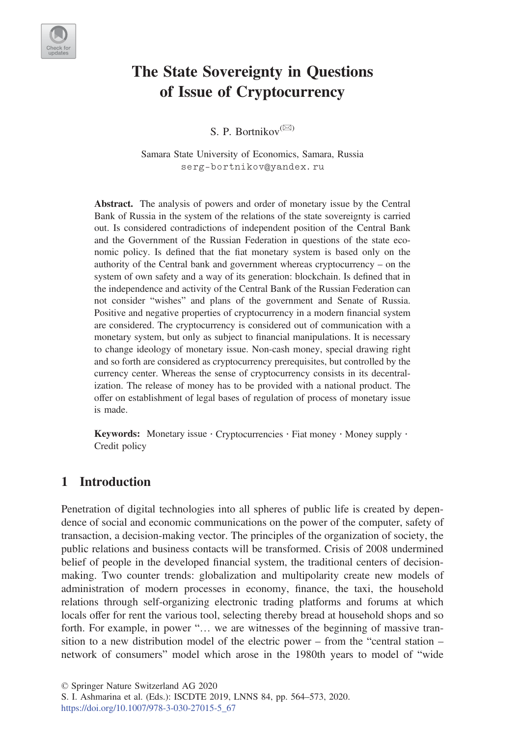

# The State Sovereignty in Questions of Issue of Cryptocurrency

S. P. Bortnikov<sup>( $\boxtimes$ )</sup>

Samara State University of Economics, Samara, Russia serg-bortnikov@yandex.ru

Abstract. The analysis of powers and order of monetary issue by the Central Bank of Russia in the system of the relations of the state sovereignty is carried out. Is considered contradictions of independent position of the Central Bank and the Government of the Russian Federation in questions of the state economic policy. Is defined that the fiat monetary system is based only on the authority of the Central bank and government whereas cryptocurrency – on the system of own safety and a way of its generation: blockchain. Is defined that in the independence and activity of the Central Bank of the Russian Federation can not consider "wishes" and plans of the government and Senate of Russia. Positive and negative properties of cryptocurrency in a modern financial system are considered. The cryptocurrency is considered out of communication with a monetary system, but only as subject to financial manipulations. It is necessary to change ideology of monetary issue. Non-cash money, special drawing right and so forth are considered as cryptocurrency prerequisites, but controlled by the currency center. Whereas the sense of cryptocurrency consists in its decentralization. The release of money has to be provided with a national product. The offer on establishment of legal bases of regulation of process of monetary issue is made.

Keywords: Monetary issue · Cryptocurrencies · Fiat money · Money supply · Credit policy

# 1 Introduction

Penetration of digital technologies into all spheres of public life is created by dependence of social and economic communications on the power of the computer, safety of transaction, a decision-making vector. The principles of the organization of society, the public relations and business contacts will be transformed. Crisis of 2008 undermined belief of people in the developed financial system, the traditional centers of decisionmaking. Two counter trends: globalization and multipolarity create new models of administration of modern processes in economy, finance, the taxi, the household relations through self-organizing electronic trading platforms and forums at which locals offer for rent the various tool, selecting thereby bread at household shops and so forth. For example, in power "... we are witnesses of the beginning of massive transition to a new distribution model of the electric power – from the "central station – network of consumers" model which arose in the 1980th years to model of "wide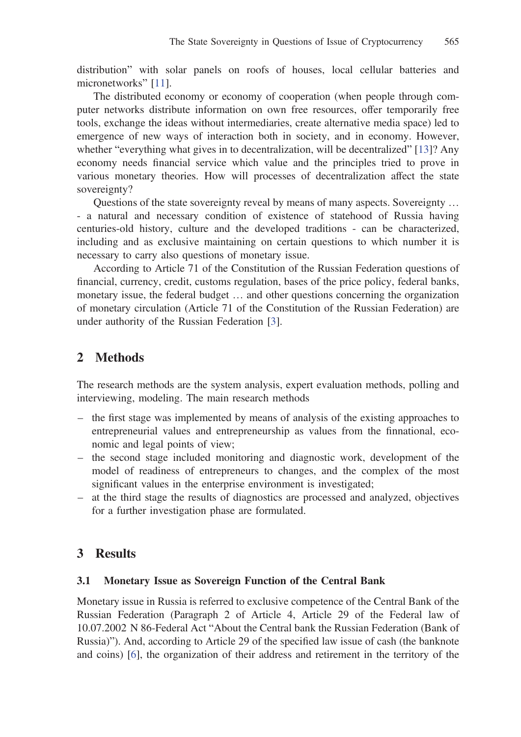distribution" with solar panels on roofs of houses, local cellular batteries and micronetworks" [11].

The distributed economy or economy of cooperation (when people through computer networks distribute information on own free resources, offer temporarily free tools, exchange the ideas without intermediaries, create alternative media space) led to emergence of new ways of interaction both in society, and in economy. However, whether "everything what gives in to decentralization, will be decentralized" [13]? Any economy needs financial service which value and the principles tried to prove in various monetary theories. How will processes of decentralization affect the state sovereignty?

Questions of the state sovereignty reveal by means of many aspects. Sovereignty … - a natural and necessary condition of existence of statehood of Russia having centuries-old history, culture and the developed traditions - can be characterized, including and as exclusive maintaining on certain questions to which number it is necessary to carry also questions of monetary issue.

According to Article 71 of the Constitution of the Russian Federation questions of financial, currency, credit, customs regulation, bases of the price policy, federal banks, monetary issue, the federal budget … and other questions concerning the organization of monetary circulation (Article 71 of the Constitution of the Russian Federation) are under authority of the Russian Federation [3].

## 2 Methods

The research methods are the system analysis, expert evaluation methods, polling and interviewing, modeling. The main research methods

- the first stage was implemented by means of analysis of the existing approaches to entrepreneurial values and entrepreneurship as values from the finnational, economic and legal points of view;
- the second stage included monitoring and diagnostic work, development of the model of readiness of entrepreneurs to changes, and the complex of the most significant values in the enterprise environment is investigated;
- at the third stage the results of diagnostics are processed and analyzed, objectives for a further investigation phase are formulated.

## 3 Results

#### 3.1 Monetary Issue as Sovereign Function of the Central Bank

Monetary issue in Russia is referred to exclusive competence of the Central Bank of the Russian Federation (Paragraph 2 of Article 4, Article 29 of the Federal law of 10.07.2002 N 86-Federal Act "About the Central bank the Russian Federation (Bank of Russia)"). And, according to Article 29 of the specified law issue of cash (the banknote and coins) [6], the organization of their address and retirement in the territory of the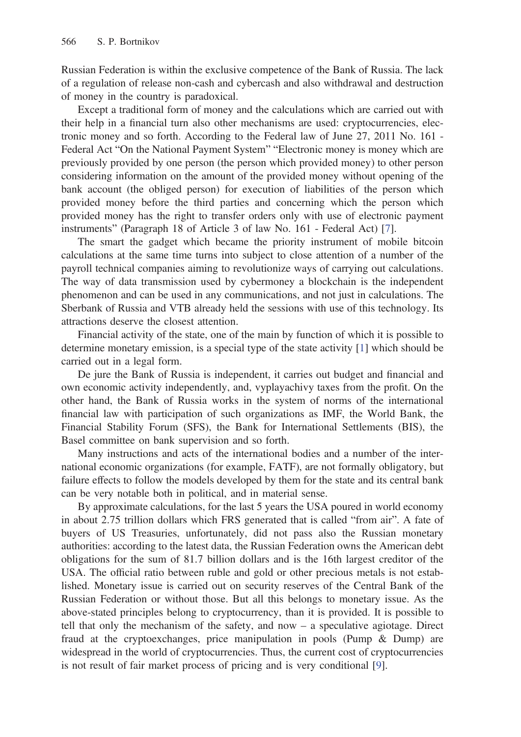Russian Federation is within the exclusive competence of the Bank of Russia. The lack of a regulation of release non-cash and cybercash and also withdrawal and destruction of money in the country is paradoxical.

Except a traditional form of money and the calculations which are carried out with their help in a financial turn also other mechanisms are used: cryptocurrencies, electronic money and so forth. According to the Federal law of June 27, 2011 No. 161 - Federal Act "On the National Payment System" "Electronic money is money which are previously provided by one person (the person which provided money) to other person considering information on the amount of the provided money without opening of the bank account (the obliged person) for execution of liabilities of the person which provided money before the third parties and concerning which the person which provided money has the right to transfer orders only with use of electronic payment instruments" (Paragraph 18 of Article 3 of law No. 161 - Federal Act) [7].

The smart the gadget which became the priority instrument of mobile bitcoin calculations at the same time turns into subject to close attention of a number of the payroll technical companies aiming to revolutionize ways of carrying out calculations. The way of data transmission used by cybermoney a blockchain is the independent phenomenon and can be used in any communications, and not just in calculations. The Sberbank of Russia and VTB already held the sessions with use of this technology. Its attractions deserve the closest attention.

Financial activity of the state, one of the main by function of which it is possible to determine monetary emission, is a special type of the state activity [1] which should be carried out in a legal form.

De jure the Bank of Russia is independent, it carries out budget and financial and own economic activity independently, and, vyplayachivy taxes from the profit. On the other hand, the Bank of Russia works in the system of norms of the international financial law with participation of such organizations as IMF, the World Bank, the Financial Stability Forum (SFS), the Bank for International Settlements (BIS), the Basel committee on bank supervision and so forth.

Many instructions and acts of the international bodies and a number of the international economic organizations (for example, FATF), are not formally obligatory, but failure effects to follow the models developed by them for the state and its central bank can be very notable both in political, and in material sense.

By approximate calculations, for the last 5 years the USA poured in world economy in about 2.75 trillion dollars which FRS generated that is called "from air". A fate of buyers of US Treasuries, unfortunately, did not pass also the Russian monetary authorities: according to the latest data, the Russian Federation owns the American debt obligations for the sum of 81.7 billion dollars and is the 16th largest creditor of the USA. The official ratio between ruble and gold or other precious metals is not established. Monetary issue is carried out on security reserves of the Central Bank of the Russian Federation or without those. But all this belongs to monetary issue. As the above-stated principles belong to cryptocurrency, than it is provided. It is possible to tell that only the mechanism of the safety, and now – a speculative agiotage. Direct fraud at the cryptoexchanges, price manipulation in pools (Pump & Dump) are widespread in the world of cryptocurrencies. Thus, the current cost of cryptocurrencies is not result of fair market process of pricing and is very conditional [9].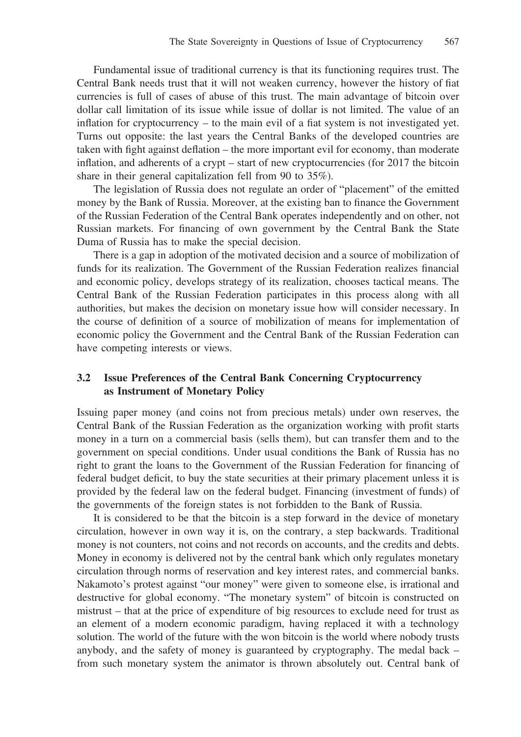Fundamental issue of traditional currency is that its functioning requires trust. The Central Bank needs trust that it will not weaken currency, however the history of fiat currencies is full of cases of abuse of this trust. The main advantage of bitcoin over dollar call limitation of its issue while issue of dollar is not limited. The value of an inflation for cryptocurrency – to the main evil of a fiat system is not investigated yet. Turns out opposite: the last years the Central Banks of the developed countries are taken with fight against deflation – the more important evil for economy, than moderate inflation, and adherents of a crypt – start of new cryptocurrencies (for 2017 the bitcoin share in their general capitalization fell from 90 to 35%).

The legislation of Russia does not regulate an order of "placement" of the emitted money by the Bank of Russia. Moreover, at the existing ban to finance the Government of the Russian Federation of the Central Bank operates independently and on other, not Russian markets. For financing of own government by the Central Bank the State Duma of Russia has to make the special decision.

There is a gap in adoption of the motivated decision and a source of mobilization of funds for its realization. The Government of the Russian Federation realizes financial and economic policy, develops strategy of its realization, chooses tactical means. The Central Bank of the Russian Federation participates in this process along with all authorities, but makes the decision on monetary issue how will consider necessary. In the course of definition of a source of mobilization of means for implementation of economic policy the Government and the Central Bank of the Russian Federation can have competing interests or views.

### 3.2 Issue Preferences of the Central Bank Concerning Cryptocurrency as Instrument of Monetary Policy

Issuing paper money (and coins not from precious metals) under own reserves, the Central Bank of the Russian Federation as the organization working with profit starts money in a turn on a commercial basis (sells them), but can transfer them and to the government on special conditions. Under usual conditions the Bank of Russia has no right to grant the loans to the Government of the Russian Federation for financing of federal budget deficit, to buy the state securities at their primary placement unless it is provided by the federal law on the federal budget. Financing (investment of funds) of the governments of the foreign states is not forbidden to the Bank of Russia.

It is considered to be that the bitcoin is a step forward in the device of monetary circulation, however in own way it is, on the contrary, a step backwards. Traditional money is not counters, not coins and not records on accounts, and the credits and debts. Money in economy is delivered not by the central bank which only regulates monetary circulation through norms of reservation and key interest rates, and commercial banks. Nakamoto's protest against "our money" were given to someone else, is irrational and destructive for global economy. "The monetary system" of bitcoin is constructed on mistrust – that at the price of expenditure of big resources to exclude need for trust as an element of a modern economic paradigm, having replaced it with a technology solution. The world of the future with the won bitcoin is the world where nobody trusts anybody, and the safety of money is guaranteed by cryptography. The medal back – from such monetary system the animator is thrown absolutely out. Central bank of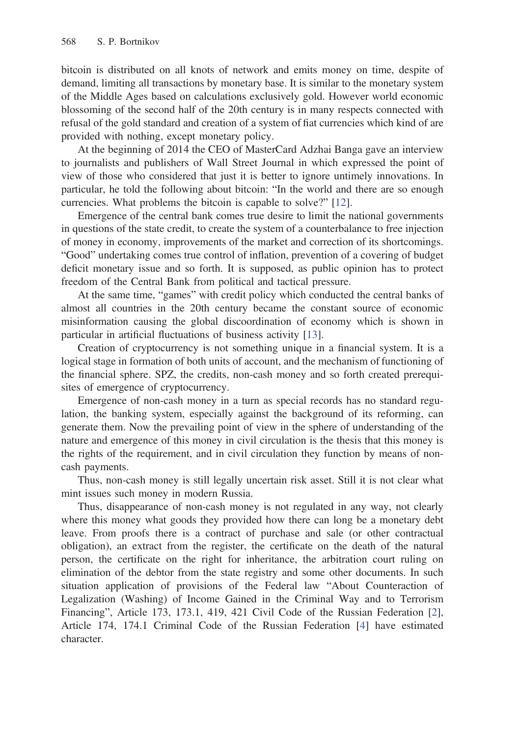bitcoin is distributed on all knots of network and emits money on time, despite of demand, limiting all transactions by monetary base. It is similar to the monetary system of the Middle Ages based on calculations exclusively gold. However world economic blossoming of the second half of the 20th century is in many respects connected with refusal of the gold standard and creation of a system of fiat currencies which kind of are provided with nothing, except monetary policy.

At the beginning of 2014 the CEO of MasterCard Adzhai Banga gave an interview to journalists and publishers of Wall Street Journal in which expressed the point of view of those who considered that just it is better to ignore untimely innovations. In particular, he told the following about bitcoin: "In the world and there are so enough currencies. What problems the bitcoin is capable to solve?" [12].

Emergence of the central bank comes true desire to limit the national governments in questions of the state credit, to create the system of a counterbalance to free injection of money in economy, improvements of the market and correction of its shortcomings. "Good" undertaking comes true control of inflation, prevention of a covering of budget deficit monetary issue and so forth. It is supposed, as public opinion has to protect freedom of the Central Bank from political and tactical pressure.

At the same time, "games" with credit policy which conducted the central banks of almost all countries in the 20th century became the constant source of economic misinformation causing the global discoordination of economy which is shown in particular in artificial fluctuations of business activity [13].

Creation of cryptocurrency is not something unique in a financial system. It is a logical stage in formation of both units of account, and the mechanism of functioning of the financial sphere. SPZ, the credits, non-cash money and so forth created prerequisites of emergence of cryptocurrency.

Emergence of non-cash money in a turn as special records has no standard regulation, the banking system, especially against the background of its reforming, can generate them. Now the prevailing point of view in the sphere of understanding of the nature and emergence of this money in civil circulation is the thesis that this money is the rights of the requirement, and in civil circulation they function by means of noncash payments.

Thus, non-cash money is still legally uncertain risk asset. Still it is not clear what mint issues such money in modern Russia.

Thus, disappearance of non-cash money is not regulated in any way, not clearly where this money what goods they provided how there can long be a monetary debt leave. From proofs there is a contract of purchase and sale (or other contractual obligation), an extract from the register, the certificate on the death of the natural person, the certificate on the right for inheritance, the arbitration court ruling on elimination of the debtor from the state registry and some other documents. In such situation application of provisions of the Federal law "About Counteraction of Legalization (Washing) of Income Gained in the Criminal Way and to Terrorism Financing", Article 173, 173.1, 419, 421 Civil Code of the Russian Federation [2], Article 174, 174.1 Criminal Code of the Russian Federation [4] have estimated character.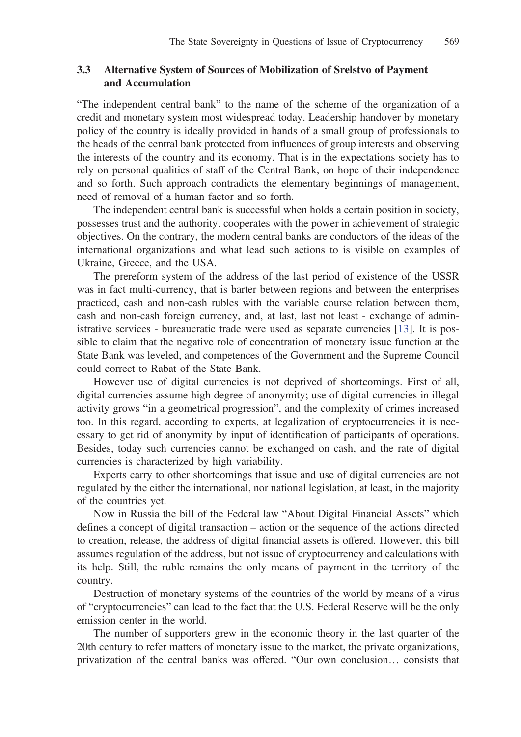#### 3.3 Alternative System of Sources of Mobilization of Srelstvo of Payment and Accumulation

"The independent central bank" to the name of the scheme of the organization of a credit and monetary system most widespread today. Leadership handover by monetary policy of the country is ideally provided in hands of a small group of professionals to the heads of the central bank protected from influences of group interests and observing the interests of the country and its economy. That is in the expectations society has to rely on personal qualities of staff of the Central Bank, on hope of their independence and so forth. Such approach contradicts the elementary beginnings of management, need of removal of a human factor and so forth.

The independent central bank is successful when holds a certain position in society, possesses trust and the authority, cooperates with the power in achievement of strategic objectives. On the contrary, the modern central banks are conductors of the ideas of the international organizations and what lead such actions to is visible on examples of Ukraine, Greece, and the USA.

The prereform system of the address of the last period of existence of the USSR was in fact multi-currency, that is barter between regions and between the enterprises practiced, cash and non-cash rubles with the variable course relation between them, cash and non-cash foreign currency, and, at last, last not least - exchange of administrative services - bureaucratic trade were used as separate currencies [13]. It is possible to claim that the negative role of concentration of monetary issue function at the State Bank was leveled, and competences of the Government and the Supreme Council could correct to Rabat of the State Bank.

However use of digital currencies is not deprived of shortcomings. First of all, digital currencies assume high degree of anonymity; use of digital currencies in illegal activity grows "in a geometrical progression", and the complexity of crimes increased too. In this regard, according to experts, at legalization of cryptocurrencies it is necessary to get rid of anonymity by input of identification of participants of operations. Besides, today such currencies cannot be exchanged on cash, and the rate of digital currencies is characterized by high variability.

Experts carry to other shortcomings that issue and use of digital currencies are not regulated by the either the international, nor national legislation, at least, in the majority of the countries yet.

Now in Russia the bill of the Federal law "About Digital Financial Assets" which defines a concept of digital transaction – action or the sequence of the actions directed to creation, release, the address of digital financial assets is offered. However, this bill assumes regulation of the address, but not issue of cryptocurrency and calculations with its help. Still, the ruble remains the only means of payment in the territory of the country.

Destruction of monetary systems of the countries of the world by means of a virus of "cryptocurrencies" can lead to the fact that the U.S. Federal Reserve will be the only emission center in the world.

The number of supporters grew in the economic theory in the last quarter of the 20th century to refer matters of monetary issue to the market, the private organizations, privatization of the central banks was offered. "Our own conclusion… consists that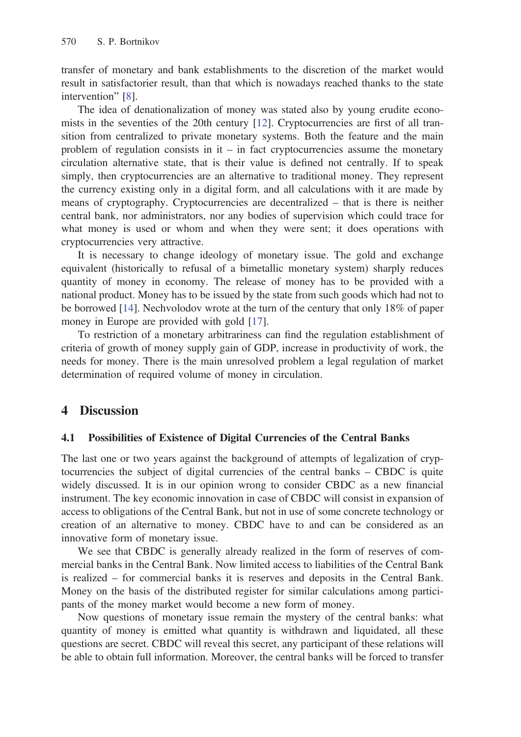transfer of monetary and bank establishments to the discretion of the market would result in satisfactorier result, than that which is nowadays reached thanks to the state intervention" [8].

The idea of denationalization of money was stated also by young erudite economists in the seventies of the 20th century [12]. Cryptocurrencies are first of all transition from centralized to private monetary systems. Both the feature and the main problem of regulation consists in  $it - in$  fact cryptocurrencies assume the monetary circulation alternative state, that is their value is defined not centrally. If to speak simply, then cryptocurrencies are an alternative to traditional money. They represent the currency existing only in a digital form, and all calculations with it are made by means of cryptography. Cryptocurrencies are decentralized – that is there is neither central bank, nor administrators, nor any bodies of supervision which could trace for what money is used or whom and when they were sent; it does operations with cryptocurrencies very attractive.

It is necessary to change ideology of monetary issue. The gold and exchange equivalent (historically to refusal of a bimetallic monetary system) sharply reduces quantity of money in economy. The release of money has to be provided with a national product. Money has to be issued by the state from such goods which had not to be borrowed [14]. Nechvolodov wrote at the turn of the century that only 18% of paper money in Europe are provided with gold [17].

To restriction of a monetary arbitrariness can find the regulation establishment of criteria of growth of money supply gain of GDP, increase in productivity of work, the needs for money. There is the main unresolved problem a legal regulation of market determination of required volume of money in circulation.

## 4 Discussion

#### 4.1 Possibilities of Existence of Digital Currencies of the Central Banks

The last one or two years against the background of attempts of legalization of cryptocurrencies the subject of digital currencies of the central banks – CBDC is quite widely discussed. It is in our opinion wrong to consider CBDC as a new financial instrument. The key economic innovation in case of CBDC will consist in expansion of access to obligations of the Central Bank, but not in use of some concrete technology or creation of an alternative to money. CBDC have to and can be considered as an innovative form of monetary issue.

We see that CBDC is generally already realized in the form of reserves of commercial banks in the Central Bank. Now limited access to liabilities of the Central Bank is realized – for commercial banks it is reserves and deposits in the Central Bank. Money on the basis of the distributed register for similar calculations among participants of the money market would become a new form of money.

Now questions of monetary issue remain the mystery of the central banks: what quantity of money is emitted what quantity is withdrawn and liquidated, all these questions are secret. CBDC will reveal this secret, any participant of these relations will be able to obtain full information. Moreover, the central banks will be forced to transfer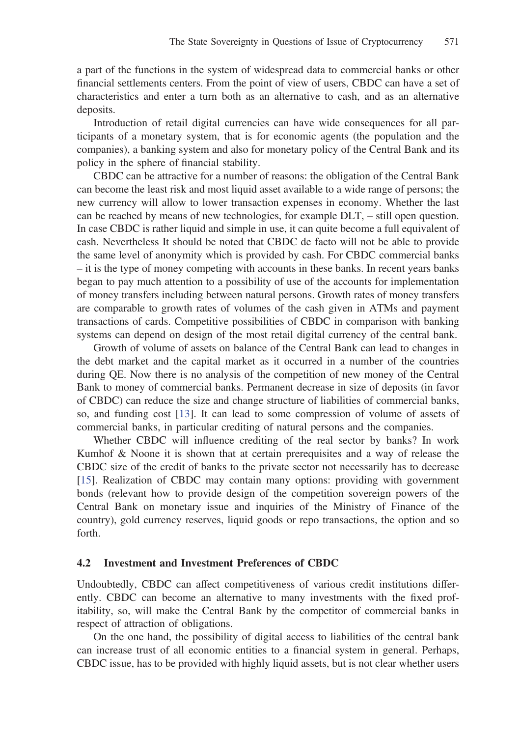a part of the functions in the system of widespread data to commercial banks or other financial settlements centers. From the point of view of users, CBDC can have a set of characteristics and enter a turn both as an alternative to cash, and as an alternative deposits.

Introduction of retail digital currencies can have wide consequences for all participants of a monetary system, that is for economic agents (the population and the companies), a banking system and also for monetary policy of the Central Bank and its policy in the sphere of financial stability.

CBDC can be attractive for a number of reasons: the obligation of the Central Bank can become the least risk and most liquid asset available to a wide range of persons; the new currency will allow to lower transaction expenses in economy. Whether the last can be reached by means of new technologies, for example DLT, – still open question. In case CBDC is rather liquid and simple in use, it can quite become a full equivalent of cash. Nevertheless It should be noted that CBDC de facto will not be able to provide the same level of anonymity which is provided by cash. For CBDC commercial banks – it is the type of money competing with accounts in these banks. In recent years banks began to pay much attention to a possibility of use of the accounts for implementation of money transfers including between natural persons. Growth rates of money transfers are comparable to growth rates of volumes of the cash given in ATMs and payment transactions of cards. Competitive possibilities of CBDC in comparison with banking systems can depend on design of the most retail digital currency of the central bank.

Growth of volume of assets on balance of the Central Bank can lead to changes in the debt market and the capital market as it occurred in a number of the countries during QE. Now there is no analysis of the competition of new money of the Central Bank to money of commercial banks. Permanent decrease in size of deposits (in favor of CBDC) can reduce the size and change structure of liabilities of commercial banks, so, and funding cost [13]. It can lead to some compression of volume of assets of commercial banks, in particular crediting of natural persons and the companies.

Whether CBDC will influence crediting of the real sector by banks? In work Kumhof & Noone it is shown that at certain prerequisites and a way of release the CBDC size of the credit of banks to the private sector not necessarily has to decrease [15]. Realization of CBDC may contain many options: providing with government bonds (relevant how to provide design of the competition sovereign powers of the Central Bank on monetary issue and inquiries of the Ministry of Finance of the country), gold currency reserves, liquid goods or repo transactions, the option and so forth.

#### 4.2 Investment and Investment Preferences of CBDC

Undoubtedly, CBDC can affect competitiveness of various credit institutions differently. CBDC can become an alternative to many investments with the fixed profitability, so, will make the Central Bank by the competitor of commercial banks in respect of attraction of obligations.

On the one hand, the possibility of digital access to liabilities of the central bank can increase trust of all economic entities to a financial system in general. Perhaps, CBDC issue, has to be provided with highly liquid assets, but is not clear whether users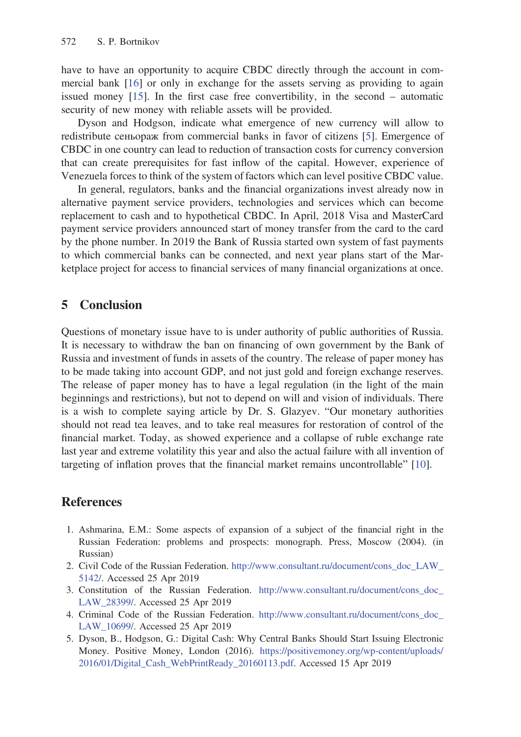have to have an opportunity to acquire CBDC directly through the account in commercial bank [16] or only in exchange for the assets serving as providing to again issued money [15]. In the first case free convertibility, in the second – automatic security of new money with reliable assets will be provided.

Dyson and Hodgson, indicate what emergence of new currency will allow to redistribute ceньopaж from commercial banks in favor of citizens [5]. Emergence of CBDC in one country can lead to reduction of transaction costs for currency conversion that can create prerequisites for fast inflow of the capital. However, experience of Venezuela forces to think of the system of factors which can level positive CBDC value.

In general, regulators, banks and the financial organizations invest already now in alternative payment service providers, technologies and services which can become replacement to cash and to hypothetical CBDC. In April, 2018 Visa and MasterCard payment service providers announced start of money transfer from the card to the card by the phone number. In 2019 the Bank of Russia started own system of fast payments to which commercial banks can be connected, and next year plans start of the Marketplace project for access to financial services of many financial organizations at once.

## 5 Conclusion

Questions of monetary issue have to is under authority of public authorities of Russia. It is necessary to withdraw the ban on financing of own government by the Bank of Russia and investment of funds in assets of the country. The release of paper money has to be made taking into account GDP, and not just gold and foreign exchange reserves. The release of paper money has to have a legal regulation (in the light of the main beginnings and restrictions), but not to depend on will and vision of individuals. There is a wish to complete saying article by Dr. S. Glazyev. "Our monetary authorities should not read tea leaves, and to take real measures for restoration of control of the financial market. Today, as showed experience and a collapse of ruble exchange rate last year and extreme volatility this year and also the actual failure with all invention of targeting of inflation proves that the financial market remains uncontrollable" [10].

# References

- 1. Ashmarina, E.M.: Some aspects of expansion of a subject of the financial right in the Russian Federation: problems and prospects: monograph. Press, Moscow (2004). (in Russian)
- 2. Civil Code of the Russian Federation. http://www.consultant.ru/document/cons\_doc\_LAW\_ 5142/. Accessed 25 Apr 2019
- 3. Constitution of the Russian Federation. http://www.consultant.ru/document/cons\_doc\_ LAW\_28399/. Accessed 25 Apr 2019
- 4. Criminal Code of the Russian Federation. http://www.consultant.ru/document/cons\_doc\_ LAW\_10699/. Accessed 25 Apr 2019
- 5. Dyson, B., Hodgson, G.: Digital Cash: Why Central Banks Should Start Issuing Electronic Money. Positive Money, London (2016). https://positivemoney.org/wp-content/uploads/ 2016/01/Digital\_Cash\_WebPrintReady\_20160113.pdf. Accessed 15 Apr 2019